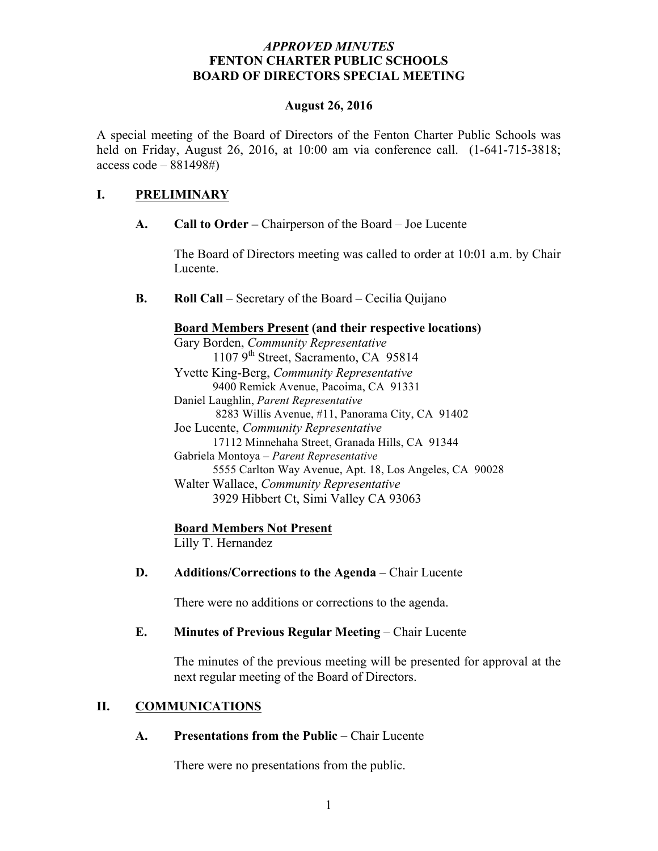### *APPROVED MINUTES* **FENTON CHARTER PUBLIC SCHOOLS BOARD OF DIRECTORS SPECIAL MEETING**

#### **August 26, 2016**

A special meeting of the Board of Directors of the Fenton Charter Public Schools was held on Friday, August 26, 2016, at 10:00 am via conference call. (1-641-715-3818; access  $\text{code} - 881498\text{\#}$ 

# **I. PRELIMINARY**

**A. Call to Order –** Chairperson of the Board – Joe Lucente

The Board of Directors meeting was called to order at 10:01 a.m. by Chair Lucente.

**B. Roll Call** – Secretary of the Board – Cecilia Quijano

### **Board Members Present (and their respective locations)**

Gary Borden, *Community Representative* 1107  $9<sup>th</sup>$  Street, Sacramento, CA 95814 Yvette King-Berg, *Community Representative* 9400 Remick Avenue, Pacoima, CA 91331 Daniel Laughlin, *Parent Representative* 8283 Willis Avenue, #11, Panorama City, CA 91402 Joe Lucente, *Community Representative* 17112 Minnehaha Street, Granada Hills, CA 91344 Gabriela Montoya – *Parent Representative* 5555 Carlton Way Avenue, Apt. 18, Los Angeles, CA 90028 Walter Wallace, *Community Representative* 3929 Hibbert Ct, Simi Valley CA 93063

### **Board Members Not Present**

Lilly T. Hernandez

### **D. Additions/Corrections to the Agenda** – Chair Lucente

There were no additions or corrections to the agenda.

### **E. Minutes of Previous Regular Meeting – Chair Lucente**

The minutes of the previous meeting will be presented for approval at the next regular meeting of the Board of Directors.

### **II. COMMUNICATIONS**

**A. Presentations from the Public** – Chair Lucente

There were no presentations from the public.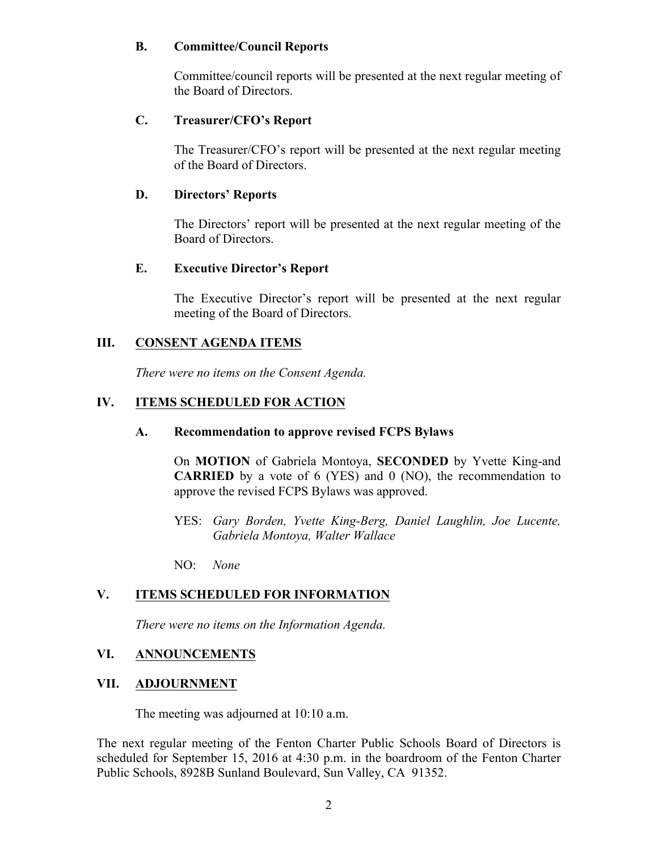## **B. Committee/Council Reports**

Committee/council reports will be presented at the next regular meeting of the Board of Directors.

# **C. Treasurer/CFO's Report**

The Treasurer/CFO's report will be presented at the next regular meeting of the Board of Directors.

## **D. Directors' Reports**

The Directors' report will be presented at the next regular meeting of the Board of Directors.

## **E. Executive Director's Report**

The Executive Director's report will be presented at the next regular meeting of the Board of Directors.

## **III. CONSENT AGENDA ITEMS**

*There were no items on the Consent Agenda.*

# **IV. ITEMS SCHEDULED FOR ACTION**

### **A. Recommendation to approve revised FCPS Bylaws**

On **MOTION** of Gabriela Montoya, **SECONDED** by Yvette King-and **CARRIED** by a vote of 6 (YES) and 0 (NO), the recommendation to approve the revised FCPS Bylaws was approved.

YES: *Gary Borden, Yvette King-Berg, Daniel Laughlin, Joe Lucente, Gabriela Montoya, Walter Wallace*

NO: *None*

# **V. ITEMS SCHEDULED FOR INFORMATION**

*There were no items on the Information Agenda.*

### **VI. ANNOUNCEMENTS**

### **VII. ADJOURNMENT**

The meeting was adjourned at 10:10 a.m.

The next regular meeting of the Fenton Charter Public Schools Board of Directors is scheduled for September 15, 2016 at 4:30 p.m. in the boardroom of the Fenton Charter Public Schools, 8928B Sunland Boulevard, Sun Valley, CA 91352.